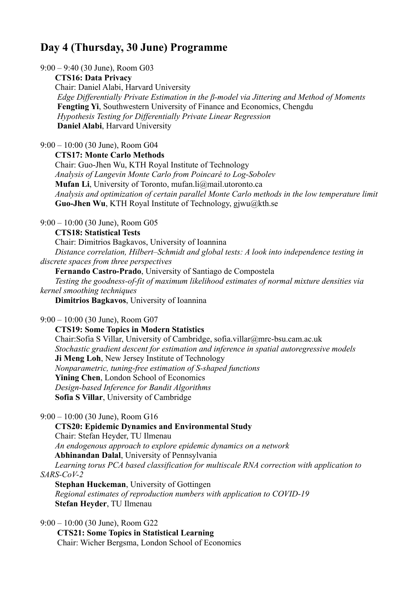# **Day 4 (Thursday, 30 June) Programme**

9:00 – 9:40 (30 June), Room G03

 **CTS16: Data Privacy** Chair: Daniel Alabi, Harvard University *Edge Differentially Private Estimation in the β-model via Jittering and Method of Moments* **Fengting Yi**, Southwestern University of Finance and Economics, Chengdu *Hypothesis Testing for Differentially Private Linear Regression* **Daniel Alabi**, Harvard University

9:00 – 10:00 (30 June), Room G04

**CTS17: Monte Carlo Methods**

Chair: Guo-Jhen Wu, KTH Royal Institute of Technology *Analysis of Langevin Monte Carlo from Poincaré to Log-Sobolev* **Mufan Li**, University of Toronto, mufan.li@mail.utoronto.ca *Analysis and optimization of certain parallel Monte Carlo methods in the low temperature limit* **Guo-Jhen Wu**, KTH Royal Institute of Technology, gjwu@kth.se

9:00 – 10:00 (30 June), Room G05

**CTS18: Statistical Tests**

Chair: Dimitrios Bagkavos, University of Ioannina *Distance correlation, Hilbert–Schmidt and global tests: A look into independence testing in discrete spaces from three perspectives*

 **Fernando Castro-Prado**, University of Santiago de Compostela *Testing the goodness-of-fit of maximum likelihood estimates of normal mixture densities via kernel smoothing techniques* **Dimitrios Bagkavos**, University of Ioannina

9:00 – 10:00 (30 June), Room G07

 **CTS19: Some Topics in Modern Statistics** Chair:Sofia S Villar, University of Cambridge, sofia.villar@mrc-bsu.cam.ac.uk *Stochastic gradient descent for estimation and inference in spatial autoregressive models* **Ji Meng Loh**, New Jersey Institute of Technology *Nonparametric, tuning‐free estimation of S‐shaped functions* Yining Chen, London School of Economics *Design-based Inference for Bandit Algorithms* **Sofia S Villar**, University of Cambridge

9:00 – 10:00 (30 June), Room G16

 **CTS20: Epidemic Dynamics and Environmental Study** Chair: Stefan Heyder, TU Ilmenau *An endogenous approach to explore epidemic dynamics on a network* **Abhinandan Dalal**, University of Pennsylvania *Learning torus PCA based classification for multiscale RNA correction with application to SARS-CoV-2* **Stephan Huckeman**, University of Gottingen

 *Regional estimates of reproduction numbers with application to COVID-19* **Stefan Heyder**, TU Ilmenau

9:00 – 10:00 (30 June), Room G22

 **CTS21: Some Topics in Statistical Learning** Chair: Wicher Bergsma, London School of Economics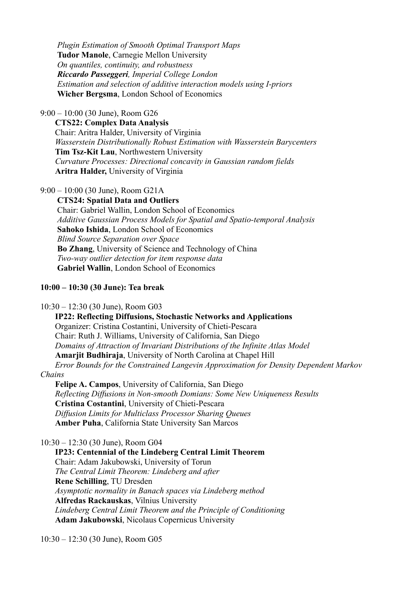*Plugin Estimation of Smooth Optimal Transport Maps* **Tudor Manole**, Carnegie Mellon University *On quantiles, continuity, and robustness Riccardo Passeggeri, Imperial College London Estimation and selection of additive interaction models using I-priors* **Wicher Bergsma**, London School of Economics

9:00 – 10:00 (30 June), Room G26

**CTS22: Complex Data Analysis**

Chair: Aritra Halder, University of Virginia *Wasserstein Distributionally Robust Estimation with Wasserstein Barycenters* **Tim Tsz-Kit Lau**, Northwestern University *Curvature Processes: Directional concavity in Gaussian random fields* **Aritra Halder,** University of Virginia

9:00 – 10:00 (30 June), Room G21A

 **CTS24: Spatial Data and Outliers** Chair: Gabriel Wallin, London School of Economics *Additive Gaussian Process Models for Spatial and Spatio-temporal Analysis* **Sahoko Ishida**, London School of Economics *Blind Source Separation over Space* **Bo Zhang**, University of Science and Technology of China *Two-way outlier detection for item response data* **Gabriel Wallin**, London School of Economics

**10:00 – 10:30 (30 June): Tea break**

10:30 – 12:30 (30 June), Room G03

 **IP22: Reflecting Diffusions, Stochastic Networks and Applications** Organizer: Cristina Costantini, University of Chieti-Pescara Chair: Ruth J. Williams, University of California, San Diego  *Domains of Attraction of Invariant Distributions of the Infinite Atlas Model* **Amarjit Budhiraja**, University of North Carolina at Chapel Hill  *Error Bounds for the Constrained Langevin Approximation for Density Dependent Markov* 

*Chains*

 **Felipe A. Campos**, University of California, San Diego  *Reflecting Diffusions in Non-smooth Domians: Some New Uniqueness Results* **Cristina Costantini**, University of Chieti-Pescara  *Diffusion Limits for Multiclass Processor Sharing Queues* **Amber Puha**, California State University San Marcos

10:30 – 12:30 (30 June), Room G04

 **IP23: Centennial of the Lindeberg Central Limit Theorem** Chair: Adam Jakubowski, University of Torun *The Central Limit Theorem: Lindeberg and after* **Rene Schilling**, TU Dresden *Asymptotic normality in Banach spaces via Lindeberg method* **Alfredas Rackauskas**, Vilnius University  *Lindeberg Central Limit Theorem and the Principle of Conditioning* **Adam Jakubowski**, Nicolaus Copernicus University

10:30 – 12:30 (30 June), Room G05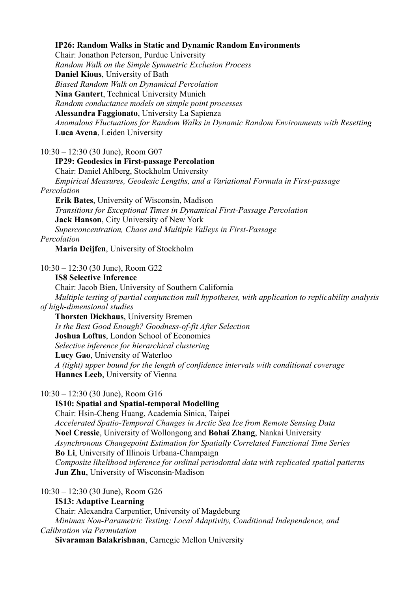# **IP26: Random Walks in Static and Dynamic Random Environments**

Chair: Jonathon Peterson, Purdue University

 *Random Walk on the Simple Symmetric Exclusion Process* **Daniel Kious**, University of Bath  *Biased Random Walk on Dynamical Percolation* **Nina Gantert**, Technical University Munich *Random conductance models on simple point processes* **Alessandra Faggionato**, University La Sapienza  *Anomalous Fluctuations for Random Walks in Dynamic Random Environments with Resetting* **Luca Avena**, Leiden University

10:30 – 12:30 (30 June), Room G07

#### **IP29: Geodesics in First-passage Percolation**

 Chair: Daniel Ahlberg, Stockholm University  *Empirical Measures, Geodesic Lengths, and a Variational Formula in First-passage Percolation*

 **Erik Bates**, University of Wisconsin, Madison  *Transitions for Exceptional Times in Dynamical First-Passage Percolation* **Jack Hanson**, City University of New York  *Superconcentration, Chaos and Multiple Valleys in First-Passage*

*Percolation*

**Maria Deijfen**, University of Stockholm

10:30 – 12:30 (30 June), Room G22

**IS8 Selective Inference**

 Chair: Jacob Bien, University of Southern California  *Multiple testing of partial conjunction null hypotheses, with application to replicability analysis of high-dimensional studies*

 **Thorsten Dickhaus**, University Bremen  *Is the Best Good Enough? Goodness-of-fit After Selection* **Joshua Loftus**, London School of Economics *Selective inference for hierarchical clustering* **Lucy Gao**, University of Waterloo  *A (tight) upper bound for the length of confidence intervals with conditional coverage* **Hannes Leeb**, University of Vienna

10:30 – 12:30 (30 June), Room G16

#### **IS10: Spatial and Spatial-temporal Modelling**

 Chair: Hsin-Cheng Huang, Academia Sinica, Taipei  *Accelerated Spatio-Temporal Changes in Arctic Sea Ice from Remote Sensing Data* **Noel Cressie**, University of Wollongong and **Bohai Zhang**, Nankai University *Asynchronous Changepoint Estimation for Spatially Correlated Functional Time Series* **Bo Li**, University of Illinois Urbana-Champaign *Composite likelihood inference for ordinal periodontal data with replicated spatial patterns* **Jun Zhu**, University of Wisconsin-Madison

10:30 – 12:30 (30 June), Room G26

**IS13: Adaptive Learning**

 Chair: Alexandra Carpentier, University of Magdeburg *Minimax Non-Parametric Testing: Local Adaptivity, Conditional Independence, and Calibration via Permutation* **Sivaraman Balakrishnan**, Carnegie Mellon University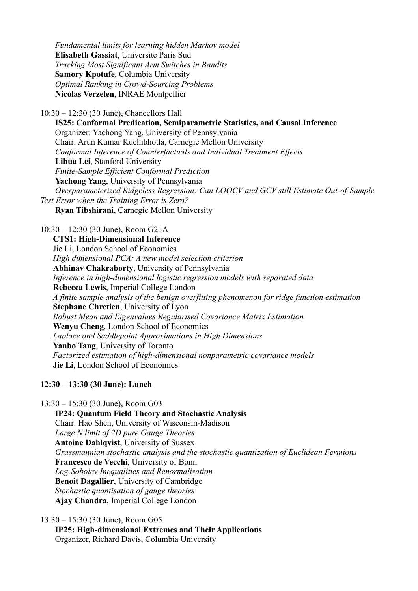*Fundamental limits for learning hidden Markov model* **Elisabeth Gassiat**, Universite Paris Sud  *Tracking Most Significant Arm Switches in Bandits* **Samory Kpotufe**, Columbia University *Optimal Ranking in Crowd-Sourcing Problems* **Nicolas Verzelen**, INRAE Montpellier

10:30 – 12:30 (30 June), Chancellors Hall

 **IS25: Conformal Predication, Semiparametric Statistics, and Causal Inference** Organizer: Yachong Yang, University of Pennsylvania Chair: Arun Kumar Kuchibhotla, Carnegie Mellon University  *Conformal Inference of Counterfactuals and Individual Treatment Effects* **Lihua Lei**, Stanford University  *Finite-Sample Efficient Conformal Prediction* **Yachong Yang**, University of Pennsylvania  *Overparameterized Ridgeless Regression: Can LOOCV and GCV still Estimate Out-of-Sample Test Error when the Training Error is Zero?* **Ryan Tibshirani**, Carnegie Mellon University

10:30 – 12:30 (30 June), Room G21A

 **CTS1: High-Dimensional Inference** Jie Li, London School of Economics *High dimensional PCA: A new model selection criterion* **Abhinav Chakraborty**, University of Pennsylvania *Inference in high-dimensional logistic regression models with separated data* **Rebecca Lewis**, Imperial College London *A finite sample analysis of the benign overfitting phenomenon for ridge function estimation* **Stephane Chretien**, University of Lyon *Robust Mean and Eigenvalues Regularised Covariance Matrix Estimation* **Wenyu Cheng**, London School of Economics *Laplace and Saddlepoint Approximations in High Dimensions* **Yanbo Tang**, University of Toronto *Factorized estimation of high-dimensional nonparametric covariance models* **Jie Li**, London School of Economics

# **12:30 – 13:30 (30 June): Lunch**

13:30 – 15:30 (30 June), Room G03

 **IP24: Quantum Field Theory and Stochastic Analysis** Chair: Hao Shen, University of Wisconsin-Madison *Large N limit of 2D pure Gauge Theories*  **Antoine Dahlqvist**, University of Sussex  *Grassmannian stochastic analysis and the stochastic quantization of Euclidean Fermions* **Francesco de Vecchi**, University of Bonn  *Log-Sobolev Inequalities and Renormalisation* **Benoit Dagallier**, University of Cambridge  *Stochastic quantisation of gauge theories* **Ajay Chandra**, Imperial College London

13:30 – 15:30 (30 June), Room G05

 **IP25: High-dimensional Extremes and Their Applications**  Organizer, Richard Davis, Columbia University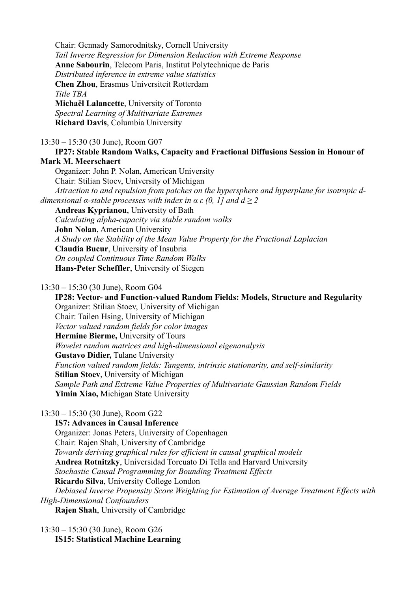Chair: Gennady Samorodnitsky, Cornell University *Tail Inverse Regression for Dimension Reduction with Extreme Response* **Anne Sabourin**, Telecom Paris, Institut Polytechnique de Paris *Distributed inference in extreme value statistics* **Chen Zhou**, Erasmus Universiteit Rotterdam *Title TBA* **Michaël Lalancette**, University of Toronto *Spectral Learning of Multivariate Extremes* **Richard Davis**, Columbia University 13:30 – 15:30 (30 June), Room G07 **IP27: Stable Random Walks, Capacity and Fractional Diffusions Session in Honour of Mark M. Meerschaert** Organizer: John P. Nolan, American University

 Chair: Stilian Stoev, University of Michigan *Attraction to and repulsion from patches on the hypersphere and hyperplane for isotropic ddimensional α-stable processes with index in*  $\alpha \in (0, 1]$  *and*  $d \ge 2$  **Andreas Kyprianou**, University of Bath  *Calculating alpha-capacity via stable random walks* **John Nolan**, American University  *A Study on the Stability of the Mean Value Property for the Fractional Laplacian* **Claudia Bucur**, University of Insubria

 *On coupled Continuous Time Random Walks*

**Hans-Peter Scheffler**, University of Siegen

#### 13:30 – 15:30 (30 June), Room G04

 **IP28: Vector- and Function-valued Random Fields: Models, Structure and Regularity** Organizer: Stilian Stoev, University of Michigan Chair: Tailen Hsing, University of Michigan *Vector valued random fields for color images* **Hermine Bierme,** University of Tours  *Wavelet random matrices and high-dimensional eigenanalysis* **Gustavo Didier,** Tulane University  *Function valued random fields: Tangents, intrinsic stationarity, and self-similarity* **Stilian Stoev**, University of Michigan  *Sample Path and Extreme Value Properties of Multivariate Gaussian Random Fields* **Yimin Xiao,** Michigan State University

# 13:30 – 15:30 (30 June), Room G22

 **IS7: Advances in Causal Inference** Organizer: Jonas Peters, University of Copenhagen Chair: Rajen Shah, University of Cambridge *Towards deriving graphical rules for efficient in causal graphical models* **Andrea Rotnitzky**, Universidad Torcuato Di Tella and Harvard University *Stochastic Causal Programming for Bounding Treatment Effects* **Ricardo Silva**, University College London  *Debiased Inverse Propensity Score Weighting for Estimation of Average Treatment Effects with High-Dimensional Confounders* **Rajen Shah**, University of Cambridge

13:30 – 15:30 (30 June), Room G26 **IS15: Statistical Machine Learning**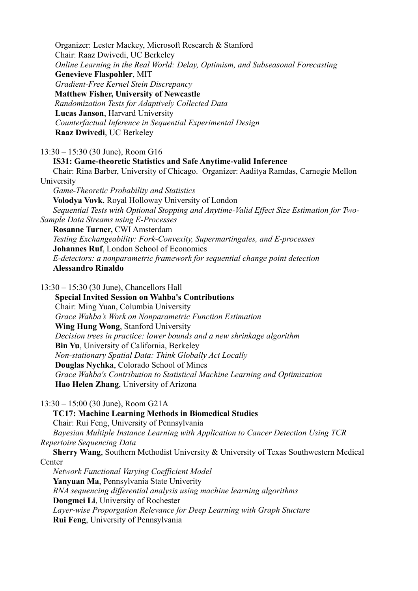Organizer: Lester Mackey, Microsoft Research & Stanford Chair: Raaz Dwivedi, UC Berkeley *Online Learning in the Real World: Delay, Optimism, and Subseasonal Forecasting*  **Genevieve Flaspohler**, MIT *Gradient-Free Kernel Stein Discrepancy* **Matthew Fisher, University of Newcastle** *Randomization Tests for Adaptively Collected Data* **Lucas Janson**, Harvard University  *Counterfactual Inference in Sequential Experimental Design* **Raaz Dwivedi**, UC Berkeley 13:30 – 15:30 (30 June), Room G16 **IS31: Game-theoretic Statistics and Safe Anytime-valid Inference** Chair: Rina Barber, University of Chicago. Organizer: Aaditya Ramdas, Carnegie Mellon University  *Game-Theoretic Probability and Statistics* **Volodya Vovk**, Royal Holloway University of London *Sequential Tests with Optional Stopping and Anytime-Valid Effect Size Estimation for Two-Sample Data Streams using E-Processes* **Rosanne Turner,** CWI Amsterdam  *Testing Exchangeability: Fork-Convexity, Supermartingales, and E-processes* **Johannes Ruf**, London School of Economics  *E-detectors: a nonparametric framework for sequential change point detection* **Alessandro Rinaldo**

13:30 – 15:30 (30 June), Chancellors Hall **Special Invited Session on Wahba's Contributions** Chair: Ming Yuan, Columbia University  *Grace Wahba's Work on Nonparametric Function Estimation* **Wing Hung Wong**, Stanford University *Decision trees in practice: lower bounds and a new shrinkage algorithm* **Bin Yu**, University of California, Berkeley  *Non-stationary Spatial Data: Think Globally Act Locally* **Douglas Nychka**, Colorado School of Mines  *Grace Wahba's Contribution to Statistical Machine Learning and Optimization* **Hao Helen Zhang**, University of Arizona

13:30 – 15:00 (30 June), Room G21A

 **TC17: Machine Learning Methods in Biomedical Studies** Chair: Rui Feng, University of Pennsylvania *Bayesian Multiple Instance Learning with Application to Cancer Detection Using TCR Repertoire Sequencing Data*

 **Sherry Wang**, Southern Methodist University & University of Texas Southwestern Medical Center *Network Functional Varying Coefficient Model*

 **Yanyuan Ma**, Pennsylvania State Univerity *RNA sequencing differential analysis using machine learning algorithms* **Dongmei Li**, University of Rochester *Layer-wise Proporgation Relevance for Deep Learning with Graph Stucture* **Rui Feng**, University of Pennsylvania